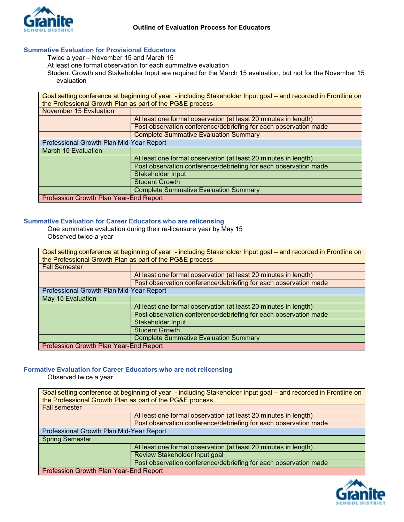

### **Summative Evaluation for Provisional Educators**

Twice a year – November 15 and March 15

At least one formal observation for each summative evaluation

Student Growth and Stakeholder Input are required for the March 15 evaluation, but not for the November 15 evaluation

| Goal setting conference at beginning of year - including Stakeholder Input goal - and recorded in Frontline on |                                                                  |  |
|----------------------------------------------------------------------------------------------------------------|------------------------------------------------------------------|--|
| the Professional Growth Plan as part of the PG&E process                                                       |                                                                  |  |
| November 15 Evaluation                                                                                         |                                                                  |  |
|                                                                                                                | At least one formal observation (at least 20 minutes in length)  |  |
|                                                                                                                | Post observation conference/debriefing for each observation made |  |
|                                                                                                                | <b>Complete Summative Evaluation Summary</b>                     |  |
| Professional Growth Plan Mid-Year Report                                                                       |                                                                  |  |
| March 15 Evaluation                                                                                            |                                                                  |  |
|                                                                                                                | At least one formal observation (at least 20 minutes in length)  |  |
|                                                                                                                | Post observation conference/debriefing for each observation made |  |
|                                                                                                                | Stakeholder Input                                                |  |
|                                                                                                                | <b>Student Growth</b>                                            |  |
|                                                                                                                | <b>Complete Summative Evaluation Summary</b>                     |  |
|                                                                                                                |                                                                  |  |

### **Summative Evaluation for Career Educators who are relicensing**

One summative evaluation during their re-licensure year by May 15 Observed twice a year

| Goal setting conference at beginning of year - including Stakeholder Input goal – and recorded in Frontline on<br>the Professional Growth Plan as part of the PG&E process |                                                                  |  |
|----------------------------------------------------------------------------------------------------------------------------------------------------------------------------|------------------------------------------------------------------|--|
| <b>Fall Semester</b>                                                                                                                                                       |                                                                  |  |
|                                                                                                                                                                            | At least one formal observation (at least 20 minutes in length)  |  |
|                                                                                                                                                                            | Post observation conference/debriefing for each observation made |  |
| Professional Growth Plan Mid-Year Report                                                                                                                                   |                                                                  |  |
| May 15 Evaluation                                                                                                                                                          |                                                                  |  |
|                                                                                                                                                                            | At least one formal observation (at least 20 minutes in length)  |  |
|                                                                                                                                                                            | Post observation conference/debriefing for each observation made |  |
|                                                                                                                                                                            | Stakeholder Input                                                |  |
|                                                                                                                                                                            | <b>Student Growth</b>                                            |  |
|                                                                                                                                                                            | <b>Complete Summative Evaluation Summary</b>                     |  |
| Profession Growth Plan Year-End Report                                                                                                                                     |                                                                  |  |

## **Formative Evaluation for Career Educators who are not relicensing**

Observed twice a year

| Goal setting conference at beginning of year - including Stakeholder Input goal - and recorded in Frontline on |                                                                  |  |
|----------------------------------------------------------------------------------------------------------------|------------------------------------------------------------------|--|
| the Professional Growth Plan as part of the PG&E process                                                       |                                                                  |  |
| <b>Fall semester</b>                                                                                           |                                                                  |  |
|                                                                                                                | At least one formal observation (at least 20 minutes in length)  |  |
|                                                                                                                | Post observation conference/debriefing for each observation made |  |
| Professional Growth Plan Mid-Year Report                                                                       |                                                                  |  |
| <b>Spring Semester</b>                                                                                         |                                                                  |  |
|                                                                                                                | At least one formal observation (at least 20 minutes in length)  |  |
|                                                                                                                | Review Stakeholder Input goal                                    |  |
|                                                                                                                | Post observation conference/debriefing for each observation made |  |
| Profession Growth Plan Year-End Report                                                                         |                                                                  |  |

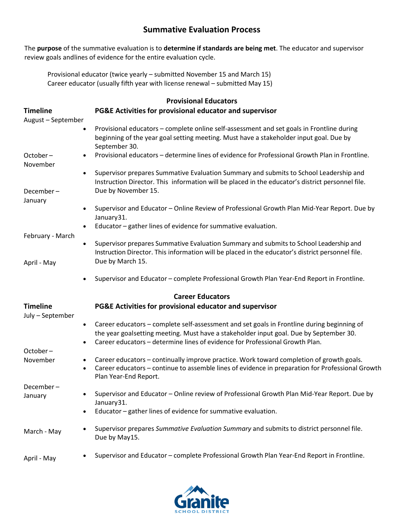# **Summative Evaluation Process**

The **purpose** of the summative evaluation is to **determine if standards are being met**. The educator and supervisor review goals andlines of evidence for the entire evaluation cycle.

Provisional educator (twice yearly – submitted November 15 and March 15) Career educator (usually fifth year with license renewal – submitted May 15)

| <b>Timeline</b><br>August - September | <b>Provisional Educators</b><br>PG&E Activities for provisional educator and supervisor                                                                                                                                                                                                        |
|---------------------------------------|------------------------------------------------------------------------------------------------------------------------------------------------------------------------------------------------------------------------------------------------------------------------------------------------|
|                                       | Provisional educators - complete online self-assessment and set goals in Frontline during<br>beginning of the year goal setting meeting. Must have a stakeholder input goal. Due by<br>September 30.                                                                                           |
| October-<br>November                  | Provisional educators - determine lines of evidence for Professional Growth Plan in Frontline.                                                                                                                                                                                                 |
| $\bullet$                             | Supervisor prepares Summative Evaluation Summary and submits to School Leadership and<br>Instruction Director. This information will be placed in the educator's district personnel file.                                                                                                      |
| December-<br>January                  | Due by November 15.                                                                                                                                                                                                                                                                            |
|                                       | Supervisor and Educator - Online Review of Professional Growth Plan Mid-Year Report. Due by<br>$\bullet$<br>January31.                                                                                                                                                                         |
| February - March                      | Educator - gather lines of evidence for summative evaluation.                                                                                                                                                                                                                                  |
|                                       | Supervisor prepares Summative Evaluation Summary and submits to School Leadership and<br>$\bullet$<br>Instruction Director. This information will be placed in the educator's district personnel file.                                                                                         |
| April - May                           | Due by March 15.                                                                                                                                                                                                                                                                               |
|                                       | Supervisor and Educator - complete Professional Growth Plan Year-End Report in Frontline.                                                                                                                                                                                                      |
|                                       | <b>Career Educators</b>                                                                                                                                                                                                                                                                        |
| <b>Timeline</b><br>July - September   | PG&E Activities for provisional educator and supervisor                                                                                                                                                                                                                                        |
|                                       | Career educators - complete self-assessment and set goals in Frontline during beginning of<br>$\bullet$<br>the year goalsetting meeting. Must have a stakeholder input goal. Due by September 30.<br>Career educators - determine lines of evidence for Professional Growth Plan.<br>$\bullet$ |
| October-                              |                                                                                                                                                                                                                                                                                                |
| November                              | Career educators - continually improve practice. Work toward completion of growth goals.<br>$\bullet$<br>Career educators - continue to assemble lines of evidence in preparation for Professional Growth<br>$\bullet$<br>Plan Year-End Report.                                                |
| December-<br>January                  | Supervisor and Educator - Online review of Professional Growth Plan Mid-Year Report. Due by                                                                                                                                                                                                    |
|                                       | January31.<br>Educator - gather lines of evidence for summative evaluation.<br>$\bullet$                                                                                                                                                                                                       |
| March - May                           | Supervisor prepares Summative Evaluation Summary and submits to district personnel file.<br>Due by May15.                                                                                                                                                                                      |
| April - May                           | Supervisor and Educator - complete Professional Growth Plan Year-End Report in Frontline.<br>$\bullet$                                                                                                                                                                                         |

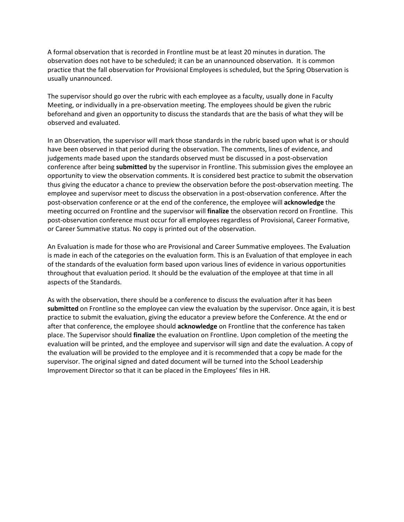A formal observation that is recorded in Frontline must be at least 20 minutes in duration. The observation does not have to be scheduled; it can be an unannounced observation. It is common practice that the fall observation for Provisional Employees is scheduled, but the Spring Observation is usually unannounced.

The supervisor should go over the rubric with each employee as a faculty, usually done in Faculty Meeting, or individually in a pre-observation meeting. The employees should be given the rubric beforehand and given an opportunity to discuss the standards that are the basis of what they will be observed and evaluated.

In an Observation*,* the supervisor will mark those standards in the rubric based upon what is or should have been observed in that period during the observation. The comments, lines of evidence, and judgements made based upon the standards observed must be discussed in a post-observation conference after being **submitted** by the supervisor in Frontline. This submission gives the employee an opportunity to view the observation comments. It is considered best practice to submit the observation thus giving the educator a chance to preview the observation before the post-observation meeting. The employee and supervisor meet to discuss the observation in a post-observation conference. After the post-observation conference or at the end of the conference, the employee will **acknowledge** the meeting occurred on Frontline and the supervisor will **finalize** the observation record on Frontline. This post-observation conference must occur for all employees regardless of Provisional, Career Formative, or Career Summative status. No copy is printed out of the observation.

An Evaluation is made for those who are Provisional and Career Summative employees. The Evaluation is made in each of the categories on the evaluation form. This is an Evaluation of that employee in each of the standards of the evaluation form based upon various lines of evidence in various opportunities throughout that evaluation period. It should be the evaluation of the employee at that time in all aspects of the Standards.

As with the observation, there should be a conference to discuss the evaluation after it has been **submitted** on Frontline so the employee can view the evaluation by the supervisor. Once again, it is best practice to submit the evaluation, giving the educator a preview before the Conference. At the end or after that conference, the employee should **acknowledge** on Frontline that the conference has taken place. The Supervisor should **finalize** the evaluation on Frontline. Upon completion of the meeting the evaluation will be printed, and the employee and supervisor will sign and date the evaluation. A copy of the evaluation will be provided to the employee and it is recommended that a copy be made for the supervisor. The original signed and dated document will be turned into the School Leadership Improvement Director so that it can be placed in the Employees' files in HR.